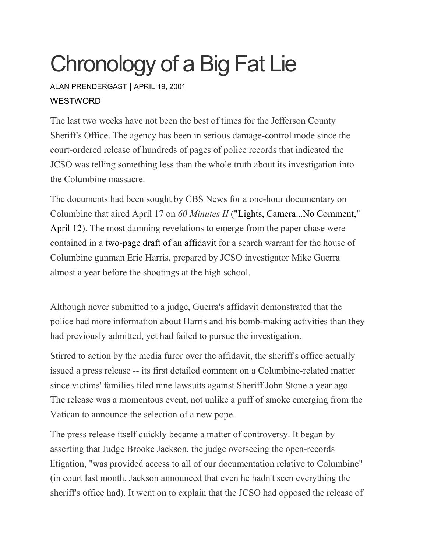## Chronology of a Big Fat Lie

ALAN [PRENDERGAST](https://www.westword.com/authors/alan-prendergast-5052731) | APRIL 19, 2001 **WESTWORD** 

The last two weeks have not been the best of times for the Jefferson County Sheriff's Office. The agency has been in serious damage-control mode since the court-ordered release of hundreds of pages of police records that indicated the JCSO was telling something less than the whole truth about its investigation into the Columbine massacre.

The documents had been sought by CBS News for a one-hour documentary on Columbine that aired April 17 on *60 Minutes II* ("Lights, [Camera...No](https://www.westword.com/issues/2001-04-12/feature2.html/page1.html) Comment," [April](https://www.westword.com/issues/2001-04-12/feature2.html/page1.html) 12). The most damning revelations to emerge from the paper chase were contained in a [two-page](http://www.westword.com/media/2001-04-19/draft.html) draft of an affidavit for a search warrant for the house of Columbine gunman Eric Harris, prepared by JCSO investigator Mike Guerra almost a year before the shootings at the high school.

Although never submitted to a judge, Guerra's affidavit demonstrated that the police had more information about Harris and his bomb-making activities than they had previously admitted, yet had failed to pursue the investigation.

Stirred to action by the media furor over the affidavit, the sheriff's office actually issued a press release -- its first detailed comment on a Columbine-related matter since victims' families filed nine lawsuits against Sheriff John Stone a year ago. The release was a momentous event, not unlike a puff of smoke emerging from the Vatican to announce the selection of a new pope.

The press release itself quickly became a matter of controversy. It began by asserting that Judge Brooke Jackson, the judge overseeing the open-records litigation, "was provided access to all of our documentation relative to Columbine" (in court last month, Jackson announced that even he hadn't seen everything the sheriff's office had). It went on to explain that the JCSO had opposed the release of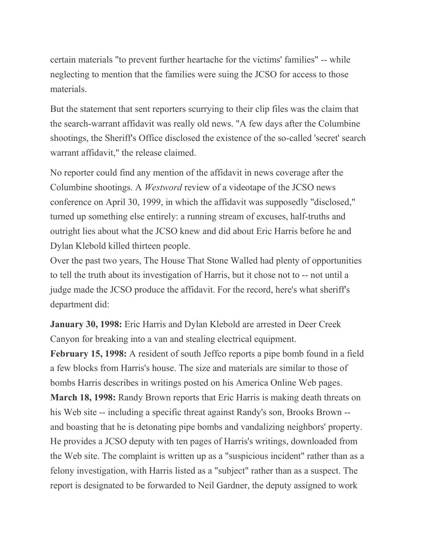certain materials "to prevent further heartache for the victims' families" -- while neglecting to mention that the families were suing the JCSO for access to those materials.

But the statement that sent reporters scurrying to their clip files was the claim that the search-warrant affidavit was really old news. "A few days after the Columbine shootings, the Sheriff's Office disclosed the existence of the so-called 'secret' search warrant affidavit," the release claimed.

No reporter could find any mention of the affidavit in news coverage after the Columbine shootings. A *Westword* review of a videotape of the JCSO news conference on April 30, 1999, in which the affidavit was supposedly "disclosed," turned up something else entirely: a running stream of excuses, half-truths and outright lies about what the JCSO knew and did about Eric Harris before he and Dylan Klebold killed thirteen people.

Over the past two years, The House That Stone Walled had plenty of opportunities to tell the truth about its investigation of Harris, but it chose not to -- not until a judge made the JCSO produce the affidavit. For the record, here's what sheriff's department did:

**January 30, 1998:** Eric Harris and Dylan Klebold are arrested in Deer Creek Canyon for breaking into a van and stealing electrical equipment.

**February 15, 1998:** A resident of south Jeffco reports a pipe bomb found in a field a few blocks from Harris's house. The size and materials are similar to those of bombs Harris describes in writings posted on his America Online Web pages. **March 18, 1998:** Randy Brown reports that Eric Harris is making death threats on his Web site -- including a specific threat against Randy's son, Brooks Brown - and boasting that he is detonating pipe bombs and vandalizing neighbors' property. He provides a JCSO deputy with ten pages of Harris's writings, downloaded from the Web site. The complaint is written up as a "suspicious incident" rather than as a felony investigation, with Harris listed as a "subject" rather than as a suspect. The report is designated to be forwarded to Neil Gardner, the deputy assigned to work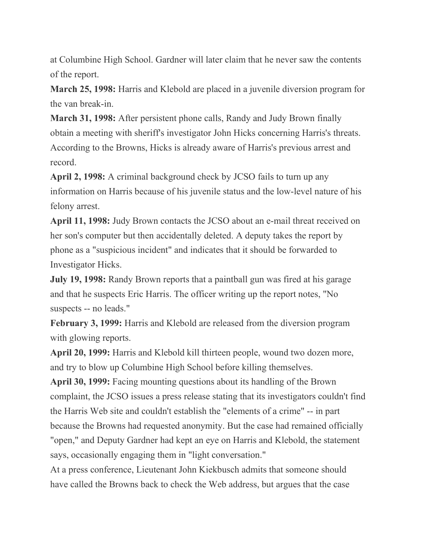at Columbine High School. Gardner will later claim that he never saw the contents of the report.

**March 25, 1998:** Harris and Klebold are placed in a juvenile diversion program for the van break-in.

**March 31, 1998:** After persistent phone calls, Randy and Judy Brown finally obtain a meeting with sheriff's investigator John Hicks concerning Harris's threats. According to the Browns, Hicks is already aware of Harris's previous arrest and record.

**April 2, 1998:** A criminal background check by JCSO fails to turn up any information on Harris because of his juvenile status and the low-level nature of his felony arrest.

**April 11, 1998:** Judy Brown contacts the JCSO about an e-mail threat received on her son's computer but then accidentally deleted. A deputy takes the report by phone as a "suspicious incident" and indicates that it should be forwarded to Investigator Hicks.

**July 19, 1998:** Randy Brown reports that a paintball gun was fired at his garage and that he suspects Eric Harris. The officer writing up the report notes, "No suspects -- no leads."

**February 3, 1999:** Harris and Klebold are released from the diversion program with glowing reports.

**April 20, 1999:** Harris and Klebold kill thirteen people, wound two dozen more, and try to blow up Columbine High School before killing themselves.

**April 30, 1999:** Facing mounting questions about its handling of the Brown complaint, the JCSO issues a press release stating that its investigators couldn't find the Harris Web site and couldn't establish the "elements of a crime" -- in part because the Browns had requested anonymity. But the case had remained officially "open," and Deputy Gardner had kept an eye on Harris and Klebold, the statement says, occasionally engaging them in "light conversation."

At a press conference, Lieutenant John Kiekbusch admits that someone should have called the Browns back to check the Web address, but argues that the case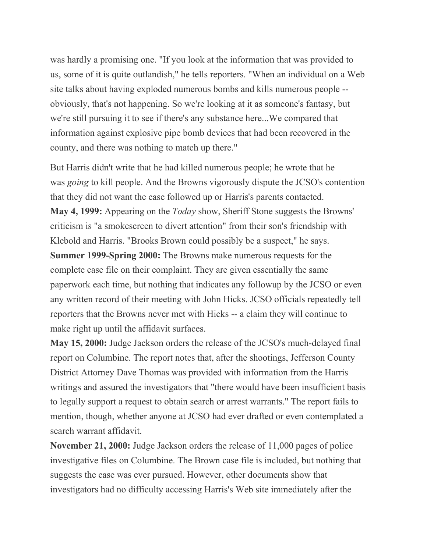was hardly a promising one. "If you look at the information that was provided to us, some of it is quite outlandish," he tells reporters. "When an individual on a Web site talks about having exploded numerous bombs and kills numerous people - obviously, that's not happening. So we're looking at it as someone's fantasy, but we're still pursuing it to see if there's any substance here...We compared that information against explosive pipe bomb devices that had been recovered in the county, and there was nothing to match up there."

But Harris didn't write that he had killed numerous people; he wrote that he was *going* to kill people. And the Browns vigorously dispute the JCSO's contention that they did not want the case followed up or Harris's parents contacted. **May 4, 1999:** Appearing on the *Today* show, Sheriff Stone suggests the Browns' criticism is "a smokescreen to divert attention" from their son's friendship with Klebold and Harris. "Brooks Brown could possibly be a suspect," he says. **Summer 1999-Spring 2000:** The Browns make numerous requests for the complete case file on their complaint. They are given essentially the same paperwork each time, but nothing that indicates any followup by the JCSO or even any written record of their meeting with John Hicks. JCSO officials repeatedly tell reporters that the Browns never met with Hicks -- a claim they will continue to make right up until the affidavit surfaces.

**May 15, 2000:** Judge Jackson orders the release of the JCSO's much-delayed final report on Columbine. The report notes that, after the shootings, Jefferson County District Attorney Dave Thomas was provided with information from the Harris writings and assured the investigators that "there would have been insufficient basis to legally support a request to obtain search or arrest warrants." The report fails to mention, though, whether anyone at JCSO had ever drafted or even contemplated a search warrant affidavit.

**November 21, 2000:** Judge Jackson orders the release of 11,000 pages of police investigative files on Columbine. The Brown case file is included, but nothing that suggests the case was ever pursued. However, other documents show that investigators had no difficulty accessing Harris's Web site immediately after the